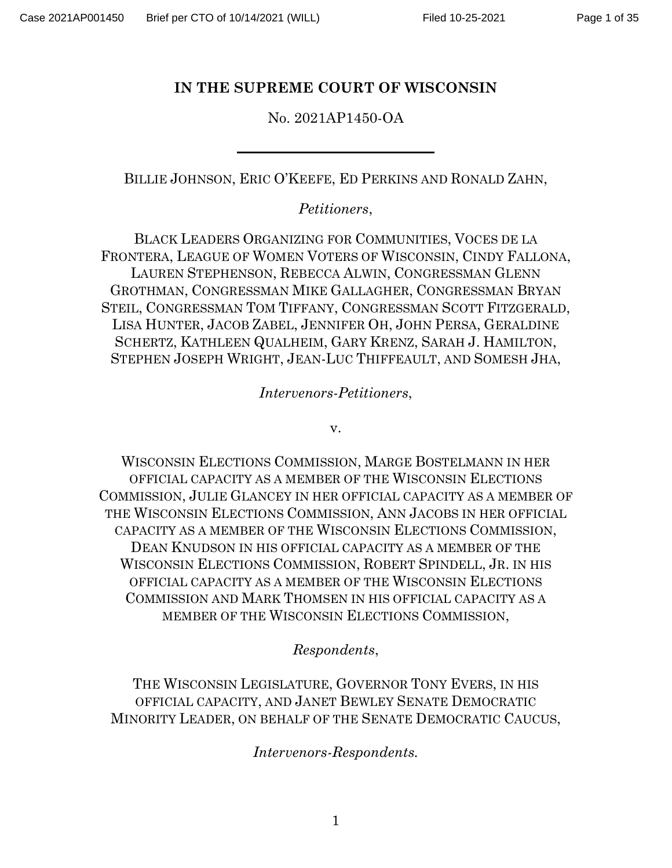#### **IN THE SUPREME COURT OF WISCONSIN**

No. 2021AP1450-OA

BILLIE JOHNSON, ERIC O'KEEFE, ED PERKINS AND RONALD ZAHN,

*Petitioners*,

BLACK LEADERS ORGANIZING FOR COMMUNITIES, VOCES DE LA FRONTERA, LEAGUE OF WOMEN VOTERS OF WISCONSIN, CINDY FALLONA, LAUREN STEPHENSON, REBECCA ALWIN, CONGRESSMAN GLENN GROTHMAN, CONGRESSMAN MIKE GALLAGHER, CONGRESSMAN BRYAN STEIL, CONGRESSMAN TOM TIFFANY, CONGRESSMAN SCOTT FITZGERALD, LISA HUNTER, JACOB ZABEL, JENNIFER OH, JOHN PERSA, GERALDINE SCHERTZ, KATHLEEN QUALHEIM, GARY KRENZ, SARAH J. HAMILTON, STEPHEN JOSEPH WRIGHT, JEAN-LUC THIFFEAULT, AND SOMESH JHA,

*Intervenors-Petitioners*,

v.

WISCONSIN ELECTIONS COMMISSION, MARGE BOSTELMANN IN HER OFFICIAL CAPACITY AS A MEMBER OF THE WISCONSIN ELECTIONS COMMISSION, JULIE GLANCEY IN HER OFFICIAL CAPACITY AS A MEMBER OF THE WISCONSIN ELECTIONS COMMISSION, ANN JACOBS IN HER OFFICIAL CAPACITY AS A MEMBER OF THE WISCONSIN ELECTIONS COMMISSION, DEAN KNUDSON IN HIS OFFICIAL CAPACITY AS A MEMBER OF THE WISCONSIN ELECTIONS COMMISSION, ROBERT SPINDELL, JR. IN HIS OFFICIAL CAPACITY AS A MEMBER OF THE WISCONSIN ELECTIONS COMMISSION AND MARK THOMSEN IN HIS OFFICIAL CAPACITY AS A MEMBER OF THE WISCONSIN ELECTIONS COMMISSION,

*Respondents*,

THE WISCONSIN LEGISLATURE, GOVERNOR TONY EVERS, IN HIS OFFICIAL CAPACITY, AND JANET BEWLEY SENATE DEMOCRATIC MINORITY LEADER, ON BEHALF OF THE SENATE DEMOCRATIC CAUCUS,

*Intervenors-Respondents.*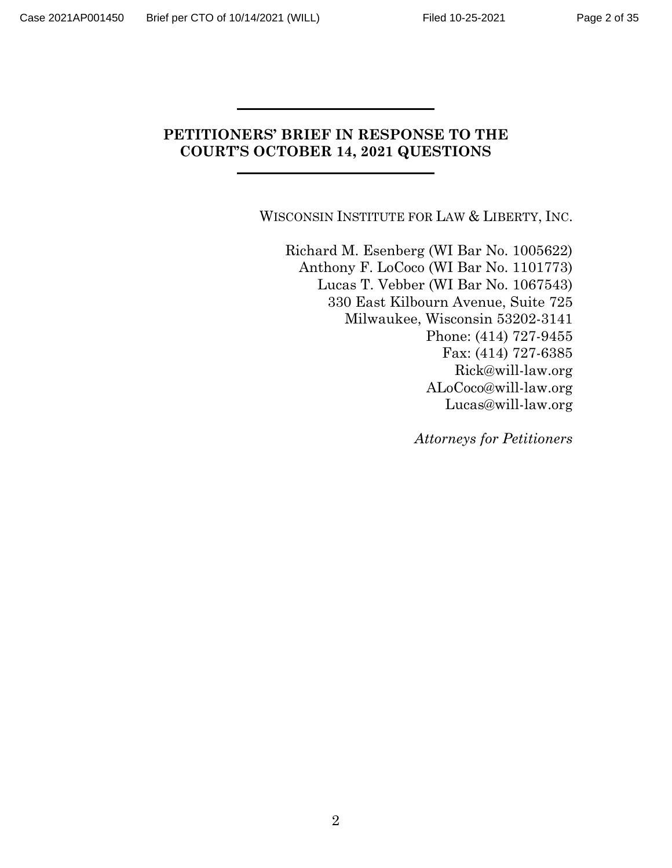# **PETITIONERS' BRIEF IN RESPONSE TO THE COURT'S OCTOBER 14, 2021 QUESTIONS**

WISCONSIN INSTITUTE FOR LAW & LIBERTY, INC.

Richard M. Esenberg (WI Bar No. 1005622) Anthony F. LoCoco (WI Bar No. 1101773) Lucas T. Vebber (WI Bar No. 1067543) 330 East Kilbourn Avenue, Suite 725 Milwaukee, Wisconsin 53202-3141 Phone: (414) 727-9455 Fax: (414) 727-6385 Rick@will-law.org ALoCoco@will-law.org Lucas@will-law.org

*Attorneys for Petitioners*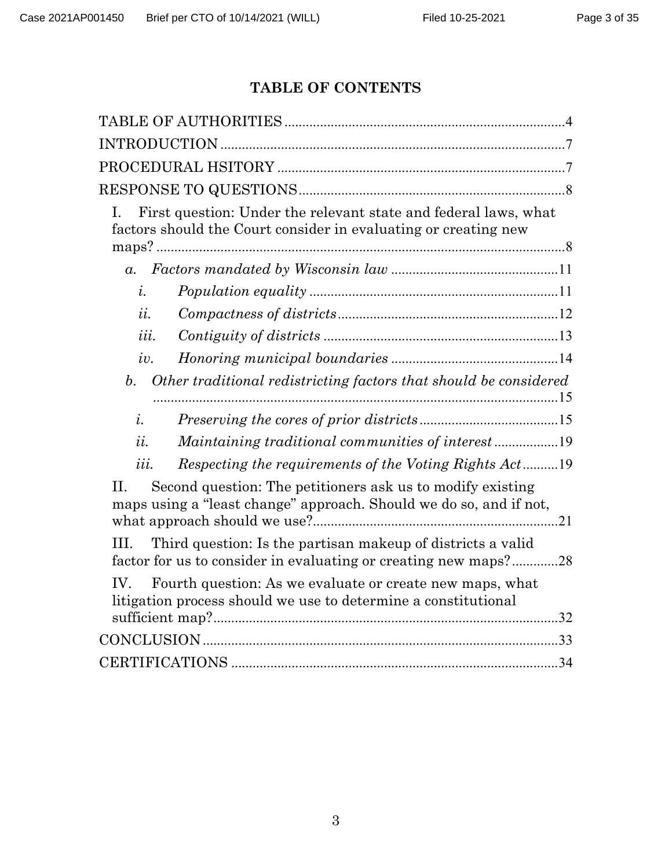# **TABLE OF CONTENTS**

| L                              | First question: Under the relevant state and federal laws, what<br>factors should the Court consider in evaluating or creating new |
|--------------------------------|------------------------------------------------------------------------------------------------------------------------------------|
| $a_{\cdot}$                    |                                                                                                                                    |
| $\dot{i}$ .                    |                                                                                                                                    |
| u.                             |                                                                                                                                    |
| iii.                           |                                                                                                                                    |
| iv.                            |                                                                                                                                    |
| b.                             | Other traditional redistricting factors that should be considered                                                                  |
| $\dot{i}$ .                    |                                                                                                                                    |
| $\overline{u}$ .               |                                                                                                                                    |
| $\overline{\iota\iota\iota}$ . | Respecting the requirements of the Voting Rights Act19                                                                             |
| $\Pi$ .                        | Second question: The petitioners ask us to modify existing<br>maps using a "least change" approach. Should we do so, and if not,   |
| Ш.                             | Third question: Is the partisan makeup of districts a valid<br>factor for us to consider in evaluating or creating new maps?28     |
| IV.                            | Fourth question: As we evaluate or create new maps, what<br>litigation process should we use to determine a constitutional         |
|                                |                                                                                                                                    |
|                                |                                                                                                                                    |
|                                |                                                                                                                                    |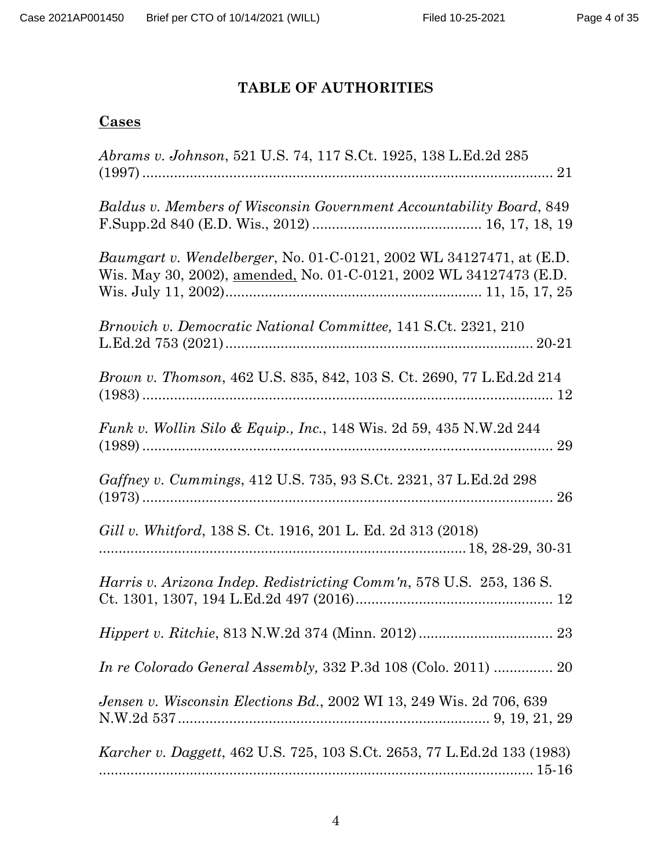# **TABLE OF AUTHORITIES**

# <span id="page-3-0"></span>**Cases**

| Abrams v. Johnson, 521 U.S. 74, 117 S.Ct. 1925, 138 L.Ed.2d 285                                                                                  |
|--------------------------------------------------------------------------------------------------------------------------------------------------|
| Baldus v. Members of Wisconsin Government Accountability Board, 849                                                                              |
| <i>Baumgart v. Wendelberger, No.</i> 01-C-0121, 2002 WL 34127471, at (E.D.<br>Wis. May 30, 2002), amended, No. 01-C-0121, 2002 WL 34127473 (E.D. |
| Brnovich v. Democratic National Committee, 141 S.Ct. 2321, 210                                                                                   |
| <i>Brown v. Thomson, 462 U.S. 835, 842, 103 S. Ct. 2690, 77 L.Ed.2d 214</i>                                                                      |
| <i>Funk v. Wollin Silo &amp; Equip., Inc., 148 Wis. 2d 59, 435 N.W.2d 244</i>                                                                    |
| Gaffney v. Cummings, 412 U.S. 735, 93 S.Ct. 2321, 37 L.Ed.2d 298                                                                                 |
| Gill v. Whitford, 138 S. Ct. 1916, 201 L. Ed. 2d 313 (2018)                                                                                      |
| Harris v. Arizona Indep. Redistricting Comm'n, 578 U.S. 253, 136 S.                                                                              |
|                                                                                                                                                  |
| In re Colorado General Assembly, 332 P.3d 108 (Colo. 2011)  20                                                                                   |
| Jensen v. Wisconsin Elections Bd., 2002 WI 13, 249 Wis. 2d 706, 639                                                                              |
| <i>Karcher v. Daggett, 462 U.S. 725, 103 S.Ct. 2653, 77 L.Ed.2d 133 (1983)</i>                                                                   |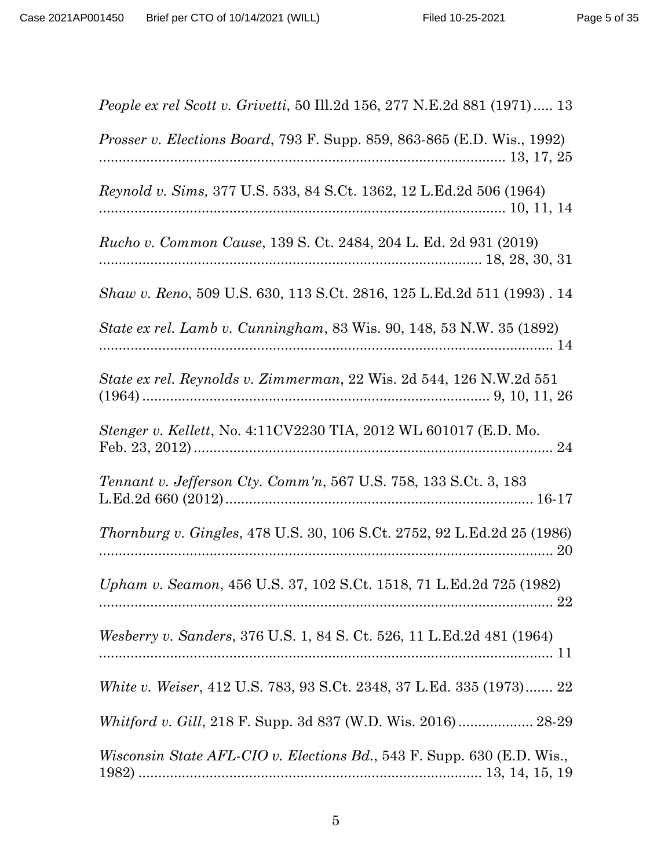| <i>People ex rel Scott v. Grivetti,</i> 50 Ill.2d 156, 277 N.E.2d 881 (1971) 13 |
|---------------------------------------------------------------------------------|
| <i>Prosser v. Elections Board, 793 F. Supp. 859, 863-865 (E.D. Wis., 1992)</i>  |
| Reynold v. Sims, 377 U.S. 533, 84 S.Ct. 1362, 12 L.Ed.2d 506 (1964)             |
| Rucho v. Common Cause, 139 S. Ct. 2484, 204 L. Ed. 2d 931 (2019)                |
| Shaw v. Reno, 509 U.S. 630, 113 S.Ct. 2816, 125 L.Ed.2d 511 (1993) . 14         |
| State ex rel. Lamb v. Cunningham, 83 Wis. 90, 148, 53 N.W. 35 (1892)            |
| State ex rel. Reynolds v. Zimmerman, 22 Wis. 2d 544, 126 N.W.2d 551             |
| Stenger v. Kellett, No. 4:11CV2230 TIA, 2012 WL 601017 (E.D. Mo.                |
| Tennant v. Jefferson Cty. Comm'n, 567 U.S. 758, 133 S.Ct. 3, 183                |
| <i>Thornburg v. Gingles, 478 U.S. 30, 106 S.Ct. 2752, 92 L.Ed.2d 25 (1986)</i>  |
| Upham v. Seamon, 456 U.S. 37, 102 S.Ct. 1518, 71 L.Ed.2d 725 (1982)             |
| Wesberry v. Sanders, 376 U.S. 1, 84 S. Ct. 526, 11 L.Ed.2d 481 (1964)           |
| White v. Weiser, 412 U.S. 783, 93 S.Ct. 2348, 37 L.Ed. 335 (1973) 22            |
|                                                                                 |
| <i>Wisconsin State AFL-CIO v. Elections Bd.</i> , 543 F. Supp. 630 (E.D. Wis.,  |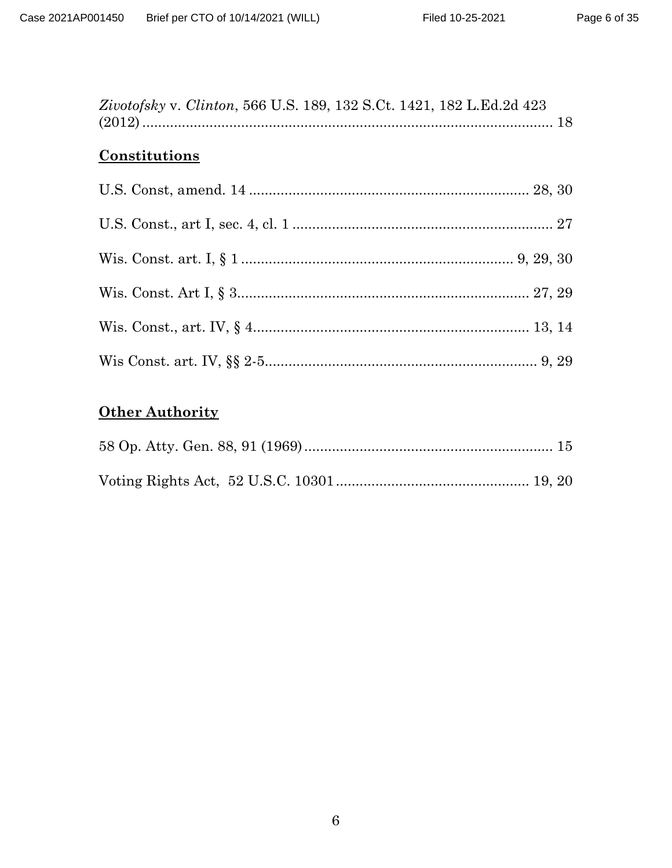| Zivotofsky v. Clinton, 566 U.S. 189, 132 S.Ct. 1421, 182 L.Ed.2d 423 |  |
|----------------------------------------------------------------------|--|
| Constitutions                                                        |  |
|                                                                      |  |
|                                                                      |  |
|                                                                      |  |
|                                                                      |  |
|                                                                      |  |
|                                                                      |  |

# **Other Authority**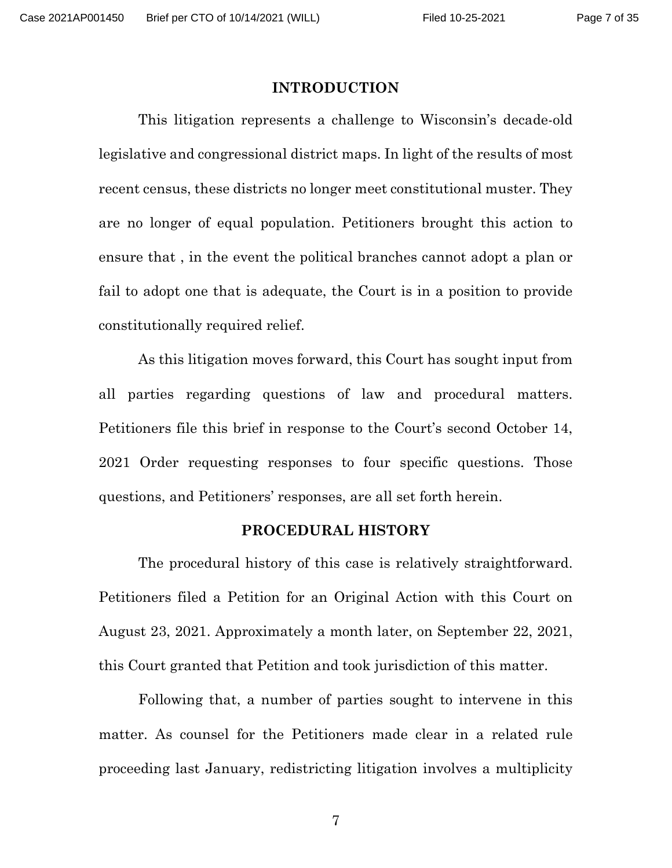#### **INTRODUCTION**

<span id="page-6-0"></span>This litigation represents a challenge to Wisconsin's decade-old legislative and congressional district maps. In light of the results of most recent census, these districts no longer meet constitutional muster. They are no longer of equal population. Petitioners brought this action to ensure that , in the event the political branches cannot adopt a plan or fail to adopt one that is adequate, the Court is in a position to provide constitutionally required relief.

As this litigation moves forward, this Court has sought input from all parties regarding questions of law and procedural matters. Petitioners file this brief in response to the Court's second October 14, 2021 Order requesting responses to four specific questions. Those questions, and Petitioners' responses, are all set forth herein.

#### **PROCEDURAL HISTORY**

<span id="page-6-1"></span>The procedural history of this case is relatively straightforward. Petitioners filed a Petition for an Original Action with this Court on August 23, 2021. Approximately a month later, on September 22, 2021, this Court granted that Petition and took jurisdiction of this matter.

Following that, a number of parties sought to intervene in this matter. As counsel for the Petitioners made clear in a related rule proceeding last January, redistricting litigation involves a multiplicity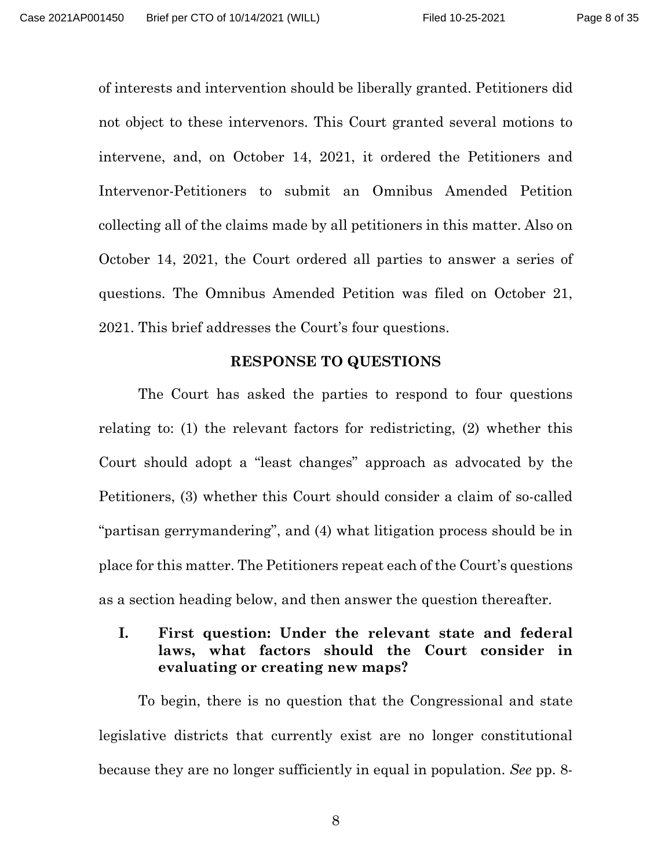of interests and intervention should be liberally granted. Petitioners did not object to these intervenors. This Court granted several motions to intervene, and, on October 14, 2021, it ordered the Petitioners and Intervenor-Petitioners to submit an Omnibus Amended Petition collecting all of the claims made by all petitioners in this matter. Also on October 14, 2021, the Court ordered all parties to answer a series of questions. The Omnibus Amended Petition was filed on October 21, 2021. This brief addresses the Court's four questions.

#### **RESPONSE TO QUESTIONS**

<span id="page-7-0"></span>The Court has asked the parties to respond to four questions relating to: (1) the relevant factors for redistricting, (2) whether this Court should adopt a "least changes" approach as advocated by the Petitioners, (3) whether this Court should consider a claim of so-called "partisan gerrymandering", and (4) what litigation process should be in place for this matter. The Petitioners repeat each of the Court's questions as a section heading below, and then answer the question thereafter.

# <span id="page-7-1"></span>**I. First question: Under the relevant state and federal laws, what factors should the Court consider in evaluating or creating new maps?**

To begin, there is no question that the Congressional and state legislative districts that currently exist are no longer constitutional because they are no longer sufficiently in equal in population. *See* pp. 8-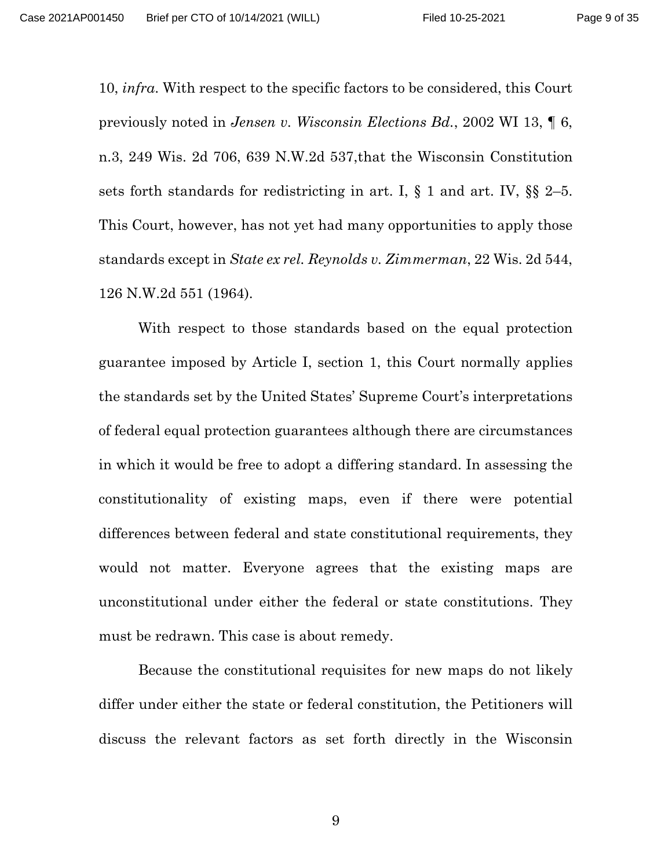10, *infra*. With respect to the specific factors to be considered, this Court previously noted in *Jensen v. Wisconsin Elections Bd.*, 2002 WI 13, ¶ 6, n.3, 249 Wis. 2d 706, 639 N.W.2d 537,that the Wisconsin Constitution sets forth standards for redistricting in art. I,  $\S$  1 and art. IV,  $\S$  2[–5.](https://1.next.westlaw.com/Link/Document/FullText?findType=L&pubNum=1000260&cite=WICNART4S5&originatingDoc=I0e27e701ff2111d99439b076ef9ec4de&refType=LQ&originationContext=document&transitionType=DocumentItem&ppcid=565b042706864b53a3faab62b9ae3a82&contextData=(sc.Search)) This Court, however, has not yet had many opportunities to apply those standards except in *State ex rel. Reynolds v. Zimmerman*, 22 Wis. 2d 544, 126 N.W.2d 551 (1964).

With respect to those standards based on the equal protection guarantee imposed by Article I, section 1, this Court normally applies the standards set by the United States' Supreme Court's interpretations of federal equal protection guarantees although there are circumstances in which it would be free to adopt a differing standard. In assessing the constitutionality of existing maps, even if there were potential differences between federal and state constitutional requirements, they would not matter. Everyone agrees that the existing maps are unconstitutional under either the federal or state constitutions. They must be redrawn. This case is about remedy.

Because the constitutional requisites for new maps do not likely differ under either the state or federal constitution, the Petitioners will discuss the relevant factors as set forth directly in the Wisconsin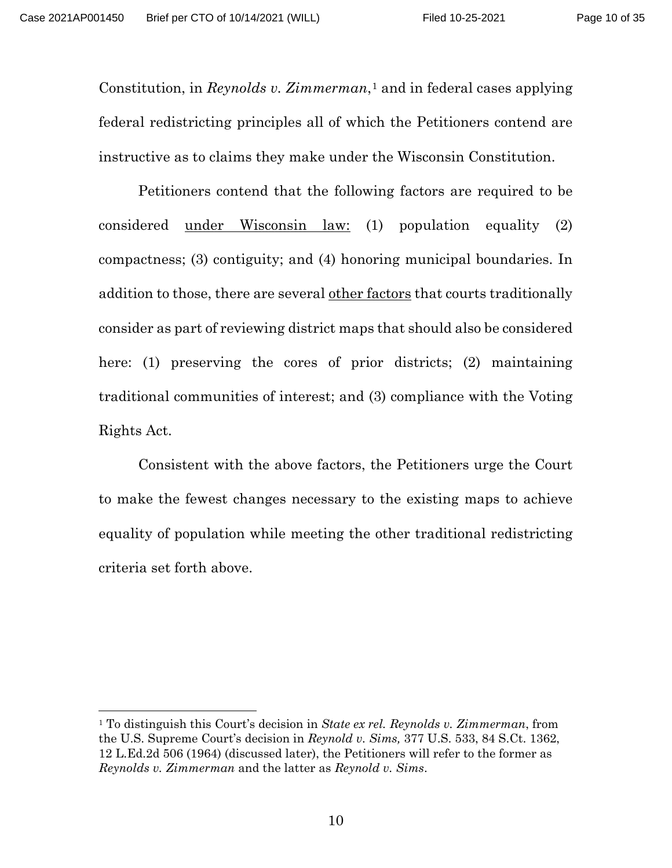Constitution, in *Reynolds v. Zimmerman*,<sup>[1](#page-9-0)</sup> and in federal cases applying federal redistricting principles all of which the Petitioners contend are instructive as to claims they make under the Wisconsin Constitution.

Petitioners contend that the following factors are required to be considered under Wisconsin law: (1) population equality (2) compactness; (3) contiguity; and (4) honoring municipal boundaries. In addition to those, there are several other factors that courts traditionally consider as part of reviewing district maps that should also be considered here: (1) preserving the cores of prior districts; (2) maintaining traditional communities of interest; and (3) compliance with the Voting Rights Act.

Consistent with the above factors, the Petitioners urge the Court to make the fewest changes necessary to the existing maps to achieve equality of population while meeting the other traditional redistricting criteria set forth above.

<span id="page-9-0"></span><sup>1</sup> To distinguish this Court's decision in *State ex rel. Reynolds v. Zimmerman*, from the U.S. Supreme Court's decision in *Reynold v. Sims,* 377 U.S. 533, 84 S.Ct. 1362, 12 L.Ed.2d 506 (1964) (discussed later), the Petitioners will refer to the former as *Reynolds v. Zimmerman* and the latter as *Reynold v. Sims*.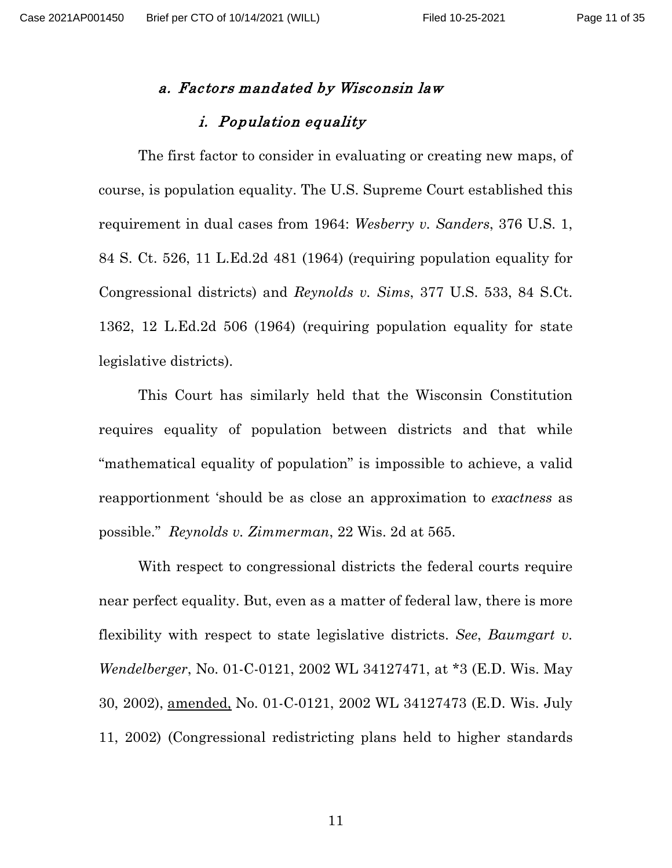#### <span id="page-10-0"></span>a. Factors mandated by Wisconsin law

### i. Population equality

<span id="page-10-1"></span>The first factor to consider in evaluating or creating new maps, of course, is population equality. The U.S. Supreme Court established this requirement in dual cases from 1964: *Wesberry v. Sanders*, 376 U.S. 1, 84 S. Ct. 526, 11 L.Ed.2d 481 (1964) (requiring population equality for Congressional districts) and *Reynolds v. Sims*, 377 U.S. 533, 84 S.Ct. 1362, 12 L.Ed.2d 506 (1964) (requiring population equality for state legislative districts).

This Court has similarly held that the Wisconsin Constitution requires equality of population between districts and that while "mathematical equality of population" is impossible to achieve, a valid reapportionment 'should be as close an approximation to *exactness* as possible." *Reynolds v. Zimmerman*, 22 Wis. 2d at 565.

With respect to congressional districts the federal courts require near perfect equality. But, even as a matter of federal law, there is more flexibility with respect to state legislative districts. *See*, *Baumgart v. Wendelberger*, No. 01-C-0121, 2002 WL 34127471, at \*3 (E.D. Wis. May 30, 2002), amended, No. 01-C-0121, 2002 WL 34127473 (E.D. Wis. July 11, 2002) (Congressional redistricting plans held to higher standards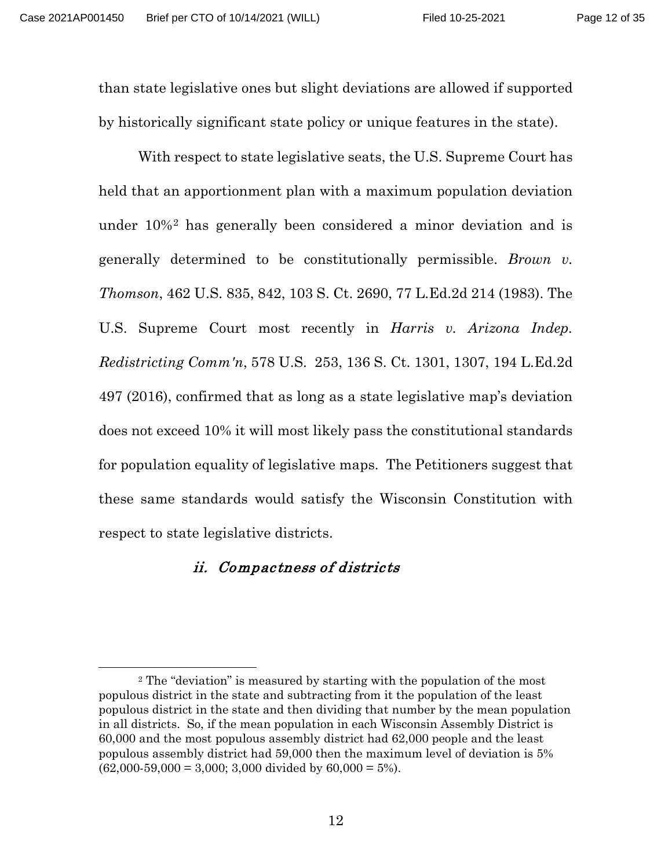than state legislative ones but slight deviations are allowed if supported by historically significant state policy or unique features in the state).

With respect to state legislative seats, the U.S. Supreme Court has held that an apportionment plan with a maximum population deviation under 10%[2](#page-11-1) has generally been considered a minor deviation and is generally determined to be constitutionally permissible. *Brown v. Thomson*, 462 U.S. 835, 842, 103 S. Ct. 2690, 77 L.Ed.2d 214 (1983). The U.S. Supreme Court most recently in *Harris v. Arizona Indep. Redistricting Comm'n*, 578 U.S. 253, 136 S. Ct. 1301, 1307, 194 L.Ed.2d 497 (2016), confirmed that as long as a state legislative map's deviation does not exceed 10% it will most likely pass the constitutional standards for population equality of legislative maps.The Petitioners suggest that these same standards would satisfy the Wisconsin Constitution with respect to state legislative districts.

#### <span id="page-11-0"></span>ii. Compactness of districts

<span id="page-11-1"></span><sup>2</sup> The "deviation" is measured by starting with the population of the most populous district in the state and subtracting from it the population of the least populous district in the state and then dividing that number by the mean population in all districts. So, if the mean population in each Wisconsin Assembly District is 60,000 and the most populous assembly district had 62,000 people and the least populous assembly district had 59,000 then the maximum level of deviation is 5%  $(62,000-59,000 = 3,000; 3,000$  divided by  $60,000 = 5%$ ).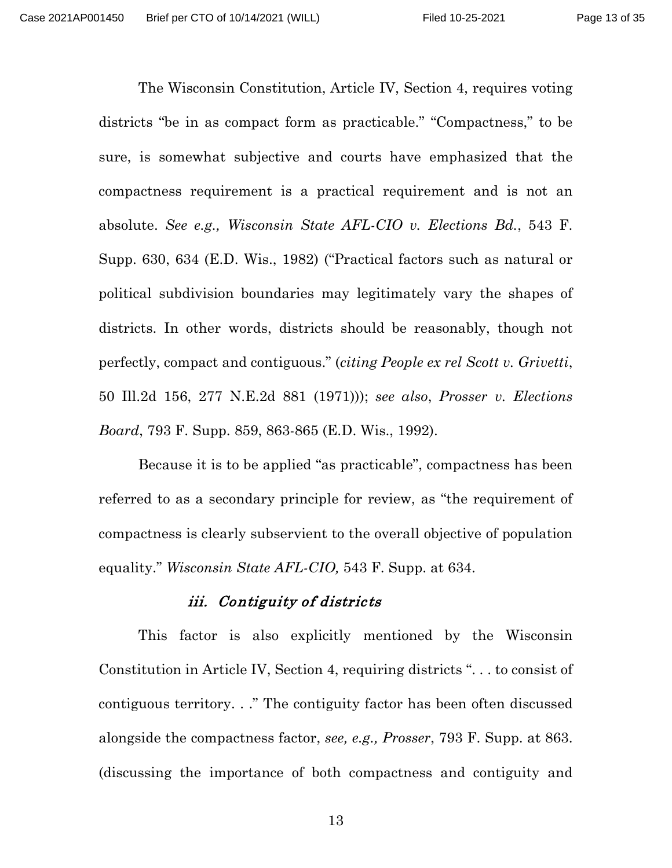The Wisconsin Constitution, Article IV, Section 4, requires voting districts "be in as compact form as practicable." "Compactness," to be sure, is somewhat subjective and courts have emphasized that the compactness requirement is a practical requirement and is not an absolute. *See e.g., Wisconsin State AFL-CIO v. Elections Bd.*, 543 F. Supp. 630, 634 (E.D. Wis., 1982) ("Practical factors such as natural or political subdivision boundaries may legitimately vary the shapes of districts. In other words, districts should be reasonably, though not perfectly, compact and contiguous." (*citing People ex rel Scott v. Grivetti*, 50 Ill.2d 156, 277 N.E.2d 881 (1971))); *see also*, *Prosser v. Elections Board*, 793 F. Supp. 859, 863-865 (E.D. Wis., 1992).

Because it is to be applied "as practicable", compactness has been referred to as a secondary principle for review, as "the requirement of compactness is clearly subservient to the overall objective of population equality." *Wisconsin State AFL-CIO,* 543 F. Supp. at 634.

#### iii. Contiguity of districts

<span id="page-12-0"></span>This factor is also explicitly mentioned by the Wisconsin Constitution in Article IV, Section 4, requiring districts ". . . to consist of contiguous territory. . ." The contiguity factor has been often discussed alongside the compactness factor, *see, e.g., Prosser*, 793 F. Supp. at 863. (discussing the importance of both compactness and contiguity and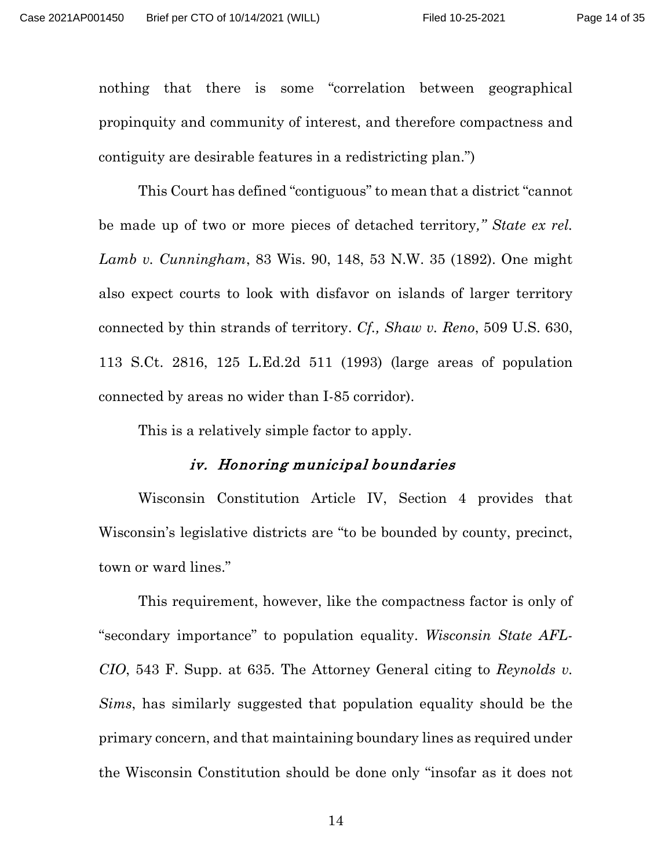nothing that there is some "correlation between geographical propinquity and community of interest, and therefore compactness and contiguity are desirable features in a redistricting plan.")

This Court has defined "contiguous" to mean that a district "cannot be made up of two or more pieces of detached territory*," State ex rel. Lamb v. Cunningham*, 83 Wis. 90, 148, 53 N.W. 35 (1892). One might also expect courts to look with disfavor on islands of larger territory connected by thin strands of territory. *Cf., Shaw v. Reno*, 509 U.S. 630, 113 S.Ct. 2816, 125 L.Ed.2d 511 (1993) (large areas of population connected by areas no wider than I-85 corridor).

This is a relatively simple factor to apply.

#### iv. Honoring municipal boundaries

<span id="page-13-0"></span>Wisconsin Constitution Article IV, Section 4 provides that Wisconsin's legislative districts are "to be bounded by county, precinct, town or ward lines."

This requirement, however, like the compactness factor is only of "secondary importance" to population equality. *Wisconsin State AFL-CIO*, 543 F. Supp. at 635. The Attorney General citing to *Reynolds v. Sims*, has similarly suggested that population equality should be the primary concern, and that maintaining boundary lines as required under the Wisconsin Constitution should be done only "insofar as it does not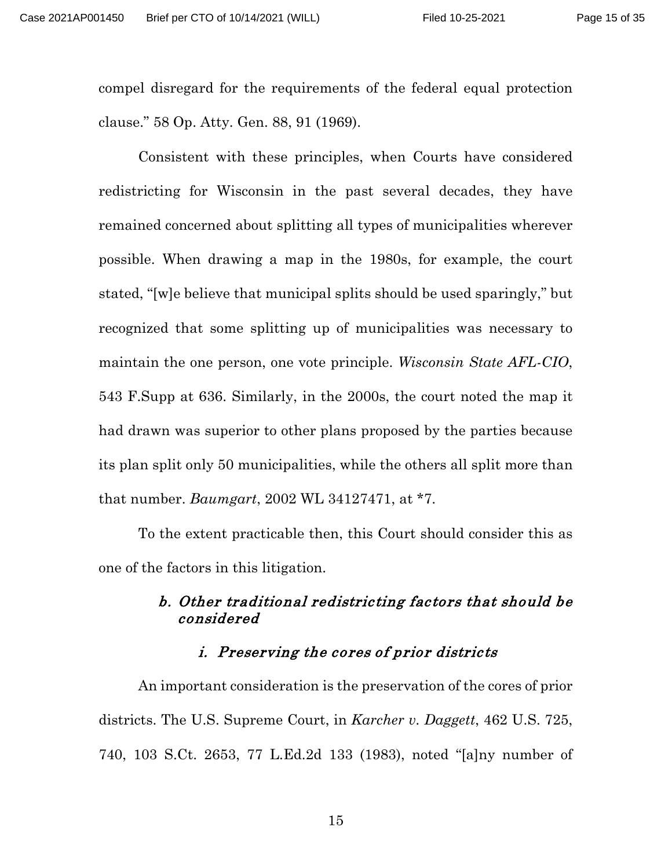compel disregard for the requirements of the federal equal protection clause." 58 Op. Atty. Gen. 88, 91 (1969).

Consistent with these principles, when Courts have considered redistricting for Wisconsin in the past several decades, they have remained concerned about splitting all types of municipalities wherever possible. When drawing a map in the 1980s, for example, the court stated, "[w]e believe that municipal splits should be used sparingly," but recognized that some splitting up of municipalities was necessary to maintain the one person, one vote principle. *Wisconsin State AFL-CIO*, 543 F.Supp at 636. Similarly, in the 2000s, the court noted the map it had drawn was superior to other plans proposed by the parties because its plan split only 50 municipalities, while the others all split more than that number. *Baumgart*, 2002 WL 34127471, at \*7.

To the extent practicable then, this Court should consider this as one of the factors in this litigation.

# <span id="page-14-0"></span>b. Other traditional redistricting factors that should be considered

# i. Preserving the cores of prior districts

<span id="page-14-1"></span>An important consideration is the preservation of the cores of prior districts. The U.S. Supreme Court, in *Karcher v. Daggett*, 462 U.S. 725, 740, 103 S.Ct. 2653, 77 L.Ed.2d 133 (1983), noted "[a]ny number of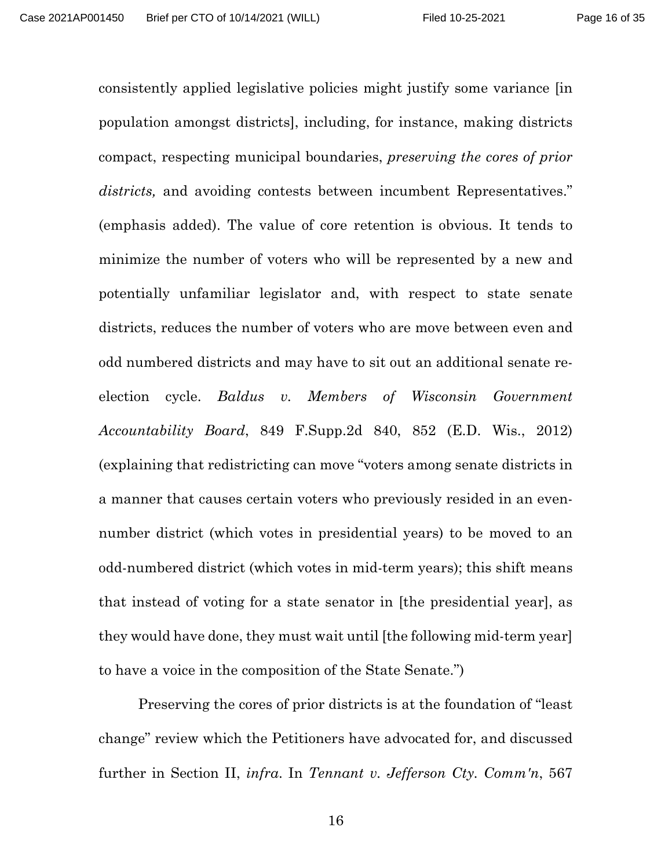consistently applied legislative policies might justify some variance [in population amongst districts], including, for instance, making districts compact, respecting municipal boundaries, *preserving the cores of prior districts,* and avoiding contests between incumbent Representatives." (emphasis added). The value of core retention is obvious. It tends to minimize the number of voters who will be represented by a new and potentially unfamiliar legislator and, with respect to state senate districts, reduces the number of voters who are move between even and odd numbered districts and may have to sit out an additional senate reelection cycle. *Baldus v. Members of Wisconsin Government Accountability Board*, 849 F.Supp.2d 840, 852 (E.D. Wis., 2012) (explaining that redistricting can move "voters among senate districts in a manner that causes certain voters who previously resided in an evennumber district (which votes in presidential years) to be moved to an odd-numbered district (which votes in mid-term years); this shift means that instead of voting for a state senator in [the presidential year], as they would have done, they must wait until [the following mid-term year] to have a voice in the composition of the State Senate.")

Preserving the cores of prior districts is at the foundation of "least change" review which the Petitioners have advocated for, and discussed further in Section II, *infra*. In *Tennant v. Jefferson Cty. Comm'n*, 567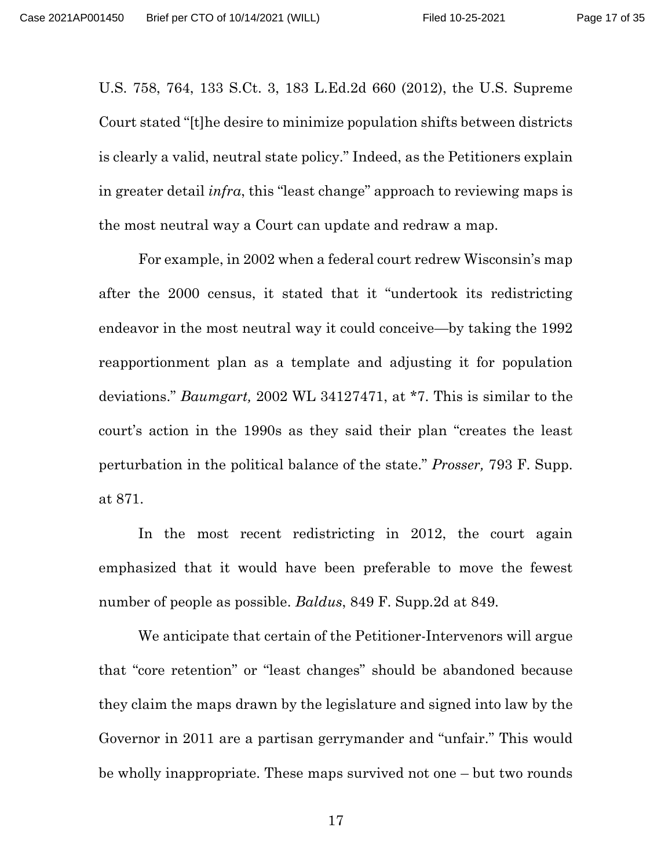U.S. 758, 764, 133 S.Ct. 3, 183 L.Ed.2d 660 (2012), the U.S. Supreme Court stated "[t]he desire to minimize population shifts between districts is clearly a valid, neutral state policy." Indeed, as the Petitioners explain in greater detail *infra*, this "least change" approach to reviewing maps is the most neutral way a Court can update and redraw a map.

For example, in 2002 when a federal court redrew Wisconsin's map after the 2000 census, it stated that it "undertook its redistricting endeavor in the most neutral way it could conceive—by taking the 1992 reapportionment plan as a template and adjusting it for population deviations." *Baumgart,* 2002 WL 34127471, at \*7. This is similar to the court's action in the 1990s as they said their plan "creates the least perturbation in the political balance of the state." *Prosser,* 793 F. Supp. at 871.

In the most recent redistricting in 2012, the court again emphasized that it would have been preferable to move the fewest number of people as possible. *Baldus*, 849 F. Supp.2d at 849.

We anticipate that certain of the Petitioner-Intervenors will argue that "core retention" or "least changes" should be abandoned because they claim the maps drawn by the legislature and signed into law by the Governor in 2011 are a partisan gerrymander and "unfair." This would be wholly inappropriate. These maps survived not one – but two rounds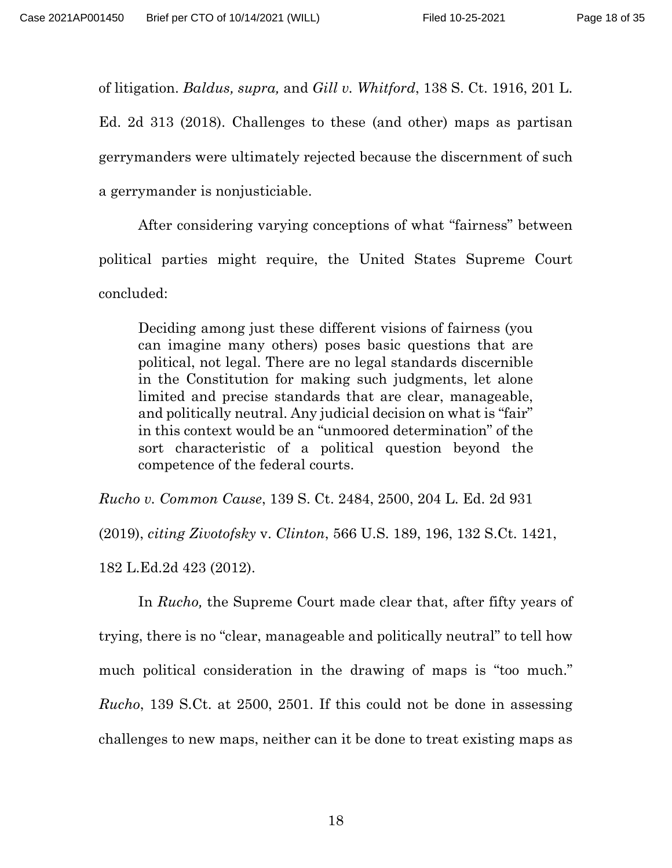of litigation. *Baldus, supra,* and *Gill v. Whitford*, 138 S. Ct. 1916, 201 L.

Ed. 2d 313 (2018). Challenges to these (and other) maps as partisan gerrymanders were ultimately rejected because the discernment of such a gerrymander is nonjusticiable.

After considering varying conceptions of what "fairness" between political parties might require, the United States Supreme Court concluded:

Deciding among just these different visions of fairness (you can imagine many others) poses basic questions that are political, not legal. There are no legal standards discernible in the Constitution for making such judgments, let alone limited and precise standards that are clear, manageable, and politically neutral. Any judicial decision on what is "fair" in this context would be an "unmoored determination" of the sort characteristic of a political question beyond the competence of the federal courts.

*Rucho v. Common Cause*, 139 S. Ct. 2484, 2500, 204 L. Ed. 2d 931 (2019), *citing Zivotofsky* v. *Clinton*, 566 U.S. 189, 196, 132 S.Ct. 1421,

182 L.Ed.2d 423 (2012).

In *Rucho,* the Supreme Court made clear that, after fifty years of trying, there is no "clear, manageable and politically neutral" to tell how much political consideration in the drawing of maps is "too much." *Rucho*, 139 S.Ct. at 2500, 2501. If this could not be done in assessing challenges to new maps, neither can it be done to treat existing maps as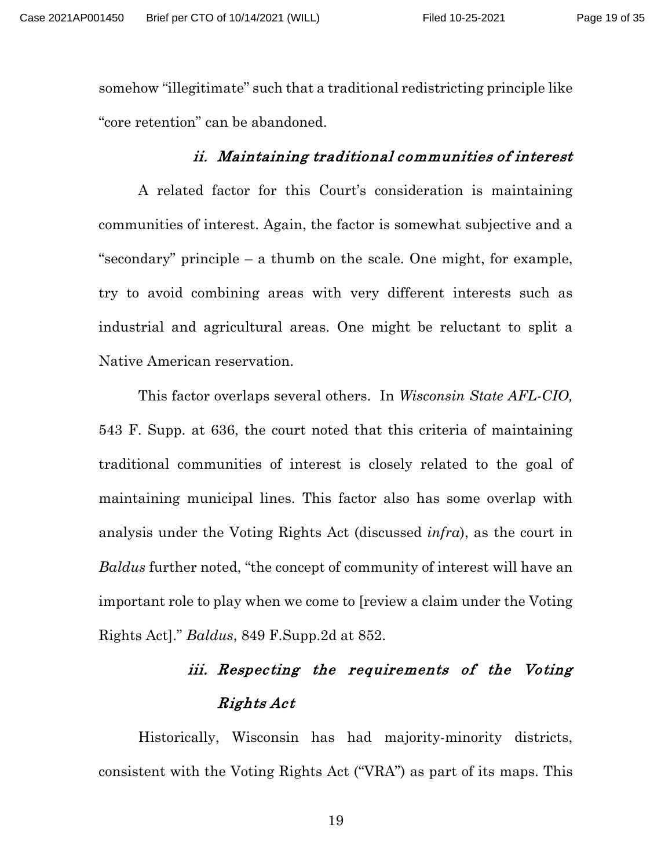somehow "illegitimate" such that a traditional redistricting principle like "core retention" can be abandoned.

#### ii. Maintaining traditional communities of interest

<span id="page-18-0"></span>A related factor for this Court's consideration is maintaining communities of interest. Again, the factor is somewhat subjective and a "secondary" principle – a thumb on the scale. One might, for example, try to avoid combining areas with very different interests such as industrial and agricultural areas. One might be reluctant to split a Native American reservation.

This factor overlaps several others. In *Wisconsin State AFL-CIO,* 543 F. Supp. at 636, the court noted that this criteria of maintaining traditional communities of interest is closely related to the goal of maintaining municipal lines. This factor also has some overlap with analysis under the Voting Rights Act (discussed *infra*), as the court in *Baldus* further noted, "the concept of community of interest will have an important role to play when we come to [review a claim under the Voting Rights Act]." *Baldus*, 849 F.Supp.2d at 852.

# iii. Respecting the requirements of the Voting Rights Act

<span id="page-18-1"></span>Historically, Wisconsin has had majority-minority districts, consistent with the Voting Rights Act ("VRA") as part of its maps. This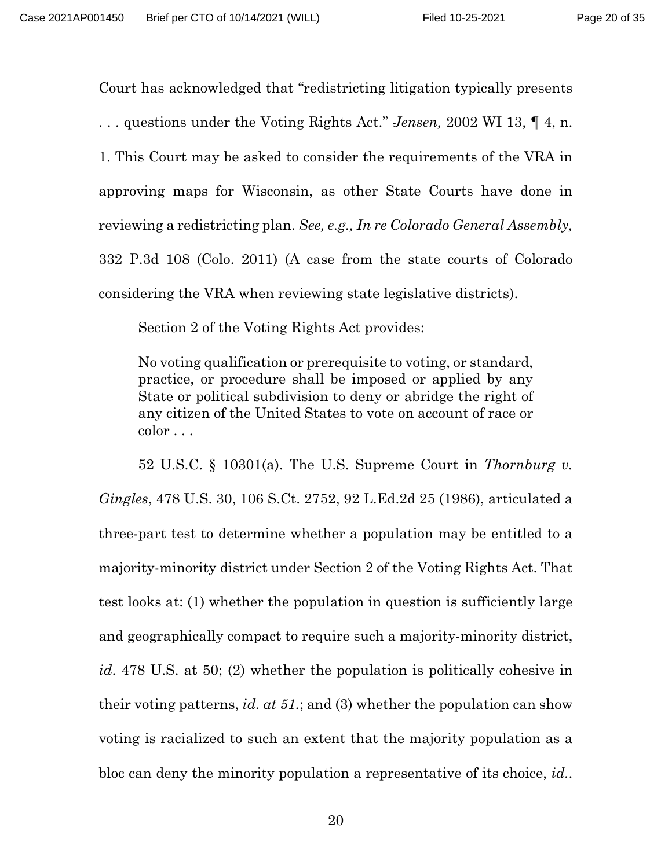Court has acknowledged that "redistricting litigation typically presents . . . questions under the Voting Rights Act." *Jensen,* 2002 WI 13, ¶ 4, n. 1. This Court may be asked to consider the requirements of the VRA in approving maps for Wisconsin, as other State Courts have done in reviewing a redistricting plan. *See, e.g., In re Colorado General Assembly,*  332 P.3d 108 (Colo. 2011) (A case from the state courts of Colorado considering the VRA when reviewing state legislative districts).

Section 2 of the Voting Rights Act provides:

No voting qualification or prerequisite to voting, or standard, practice, or procedure shall be imposed or applied by any State or political subdivision to deny or abridge the right of any citizen of the United States to vote on account of race or color . . .

52 U.S.C. § 10301(a). The U.S. Supreme Court in *Thornburg v. Gingles*, 478 U.S. 30, 106 S.Ct. 2752, 92 L.Ed.2d 25 (1986), articulated a three-part test to determine whether a population may be entitled to a majority-minority district under Section 2 of the Voting Rights Act. That test looks at: (1) whether the population in question is sufficiently large and geographically compact to require such a majority-minority district, *id*. 478 U.S. at 50; (2) whether the population is politically cohesive in their voting patterns, *id. at 51.*; and (3) whether the population can show voting is racialized to such an extent that the majority population as a bloc can deny the minority population a representative of its choice, *id.*.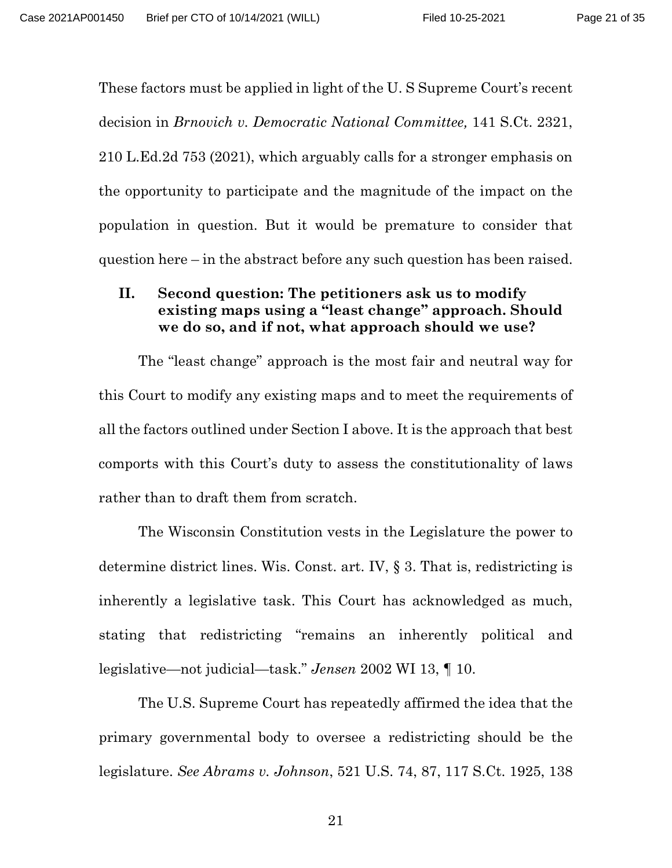These factors must be applied in light of the U. S Supreme Court's recent decision in *Brnovich v. Democratic National Committee,* 141 S.Ct. 2321, 210 L.Ed.2d 753 (2021), which arguably calls for a stronger emphasis on the opportunity to participate and the magnitude of the impact on the population in question. But it would be premature to consider that question here – in the abstract before any such question has been raised.

## <span id="page-20-0"></span>**II. Second question: The petitioners ask us to modify existing maps using a "least change" approach. Should we do so, and if not, what approach should we use?**

The "least change" approach is the most fair and neutral way for this Court to modify any existing maps and to meet the requirements of all the factors outlined under Section I above. It is the approach that best comports with this Court's duty to assess the constitutionality of laws rather than to draft them from scratch.

The Wisconsin Constitution vests in the Legislature the power to determine district lines. Wis. Const. art. IV, § 3. That is, redistricting is inherently a legislative task. This Court has acknowledged as much, stating that redistricting "remains an inherently political and legislative—not judicial—task." *Jensen* 2002 WI 13, ¶ 10.

The U.S. Supreme Court has repeatedly affirmed the idea that the primary governmental body to oversee a redistricting should be the legislature. *See Abrams v. Johnson*, 521 U.S. 74, 87, 117 S.Ct. 1925, 138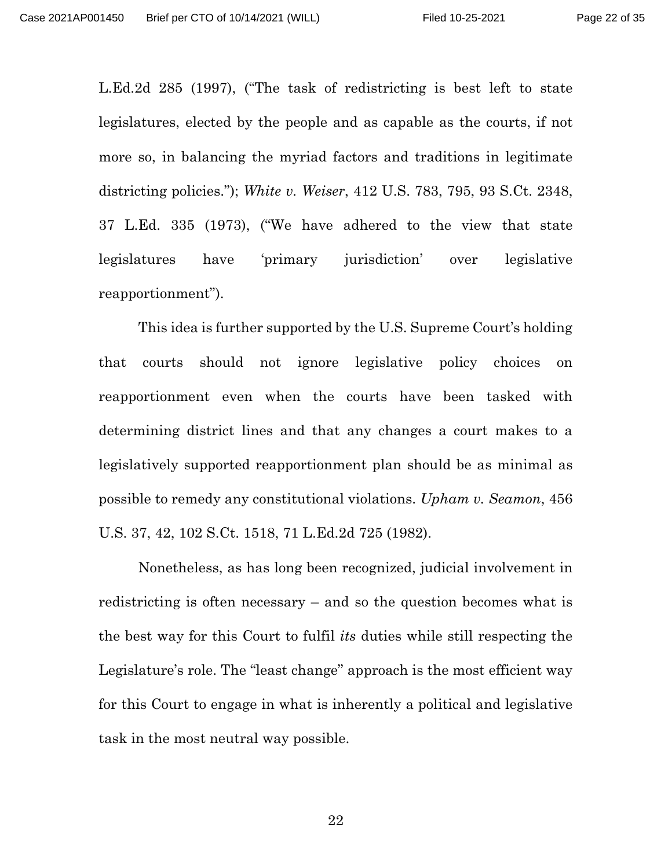L.Ed.2d 285 (1997), ("The task of redistricting is best left to state legislatures, elected by the people and as capable as the courts, if not more so, in balancing the myriad factors and traditions in legitimate districting policies."); *White v. Weiser*, 412 U.S. 783, 795, 93 S.Ct. 2348, 37 L.Ed. 335 (1973), ("We have adhered to the view that state legislatures have 'primary jurisdiction' over legislative reapportionment").

This idea is further supported by the U.S. Supreme Court's holding that courts should not ignore legislative policy choices on reapportionment even when the courts have been tasked with determining district lines and that any changes a court makes to a legislatively supported reapportionment plan should be as minimal as possible to remedy any constitutional violations. *Upham v. Seamon*, 456 U.S. 37, 42, 102 S.Ct. 1518, 71 L.Ed.2d 725 (1982).

Nonetheless, as has long been recognized, judicial involvement in redistricting is often necessary – and so the question becomes what is the best way for this Court to fulfil *its* duties while still respecting the Legislature's role. The "least change" approach is the most efficient way for this Court to engage in what is inherently a political and legislative task in the most neutral way possible.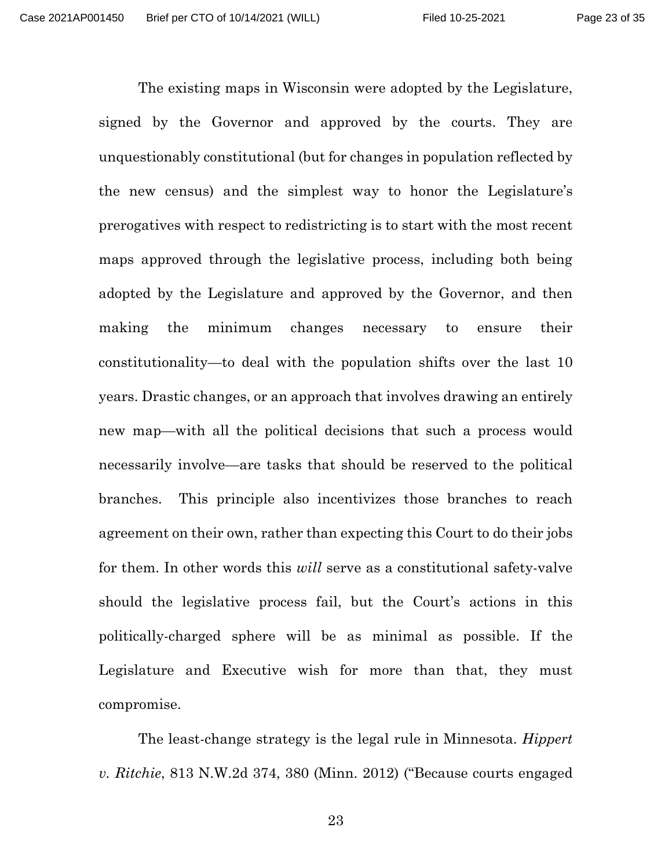The existing maps in Wisconsin were adopted by the Legislature, signed by the Governor and approved by the courts. They are unquestionably constitutional (but for changes in population reflected by the new census) and the simplest way to honor the Legislature's prerogatives with respect to redistricting is to start with the most recent maps approved through the legislative process, including both being adopted by the Legislature and approved by the Governor, and then making the minimum changes necessary to ensure their constitutionality—to deal with the population shifts over the last 10 years. Drastic changes, or an approach that involves drawing an entirely new map—with all the political decisions that such a process would necessarily involve—are tasks that should be reserved to the political branches. This principle also incentivizes those branches to reach agreement on their own, rather than expecting this Court to do their jobs for them. In other words this *will* serve as a constitutional safety-valve should the legislative process fail, but the Court's actions in this politically-charged sphere will be as minimal as possible. If the Legislature and Executive wish for more than that, they must compromise.

The least-change strategy is the legal rule in Minnesota. *Hippert v. Ritchie*, 813 N.W.2d 374, 380 (Minn. 2012) ("Because courts engaged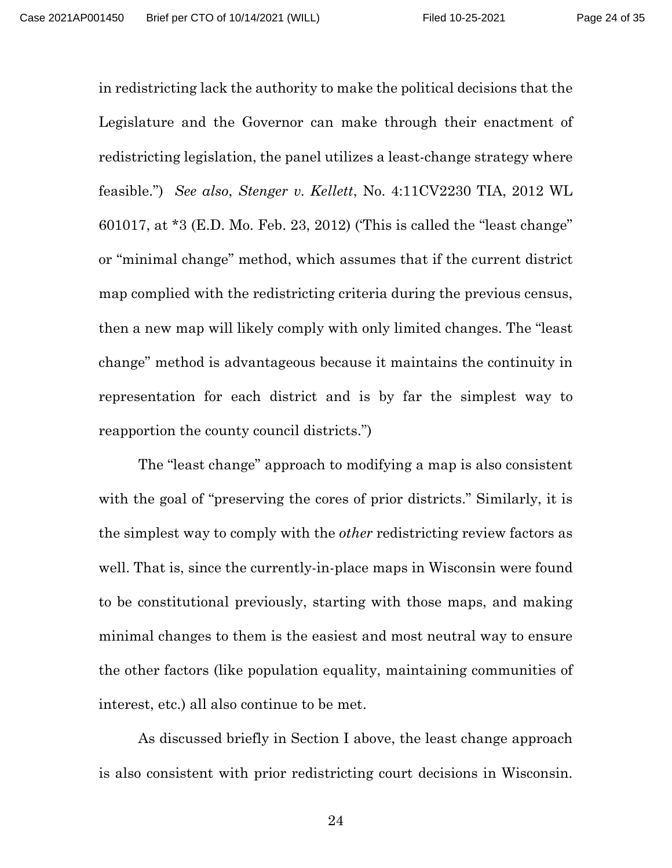in redistricting lack the authority to make the political decisions that the Legislature and the Governor can make through their enactment of redistricting legislation, the panel utilizes a least-change strategy where feasible.") *See also*, *Stenger v. Kellett*, No. 4:11CV2230 TIA, 2012 WL 601017, at \*3 (E.D. Mo. Feb. 23, 2012) ('This is called the "least change" or "minimal change" method, which assumes that if the current district map complied with the redistricting criteria during the previous census, then a new map will likely comply with only limited changes. The "least change" method is advantageous because it maintains the continuity in representation for each district and is by far the simplest way to reapportion the county council districts.")

The "least change" approach to modifying a map is also consistent with the goal of "preserving the cores of prior districts." Similarly, it is the simplest way to comply with the *other* redistricting review factors as well. That is, since the currently-in-place maps in Wisconsin were found to be constitutional previously, starting with those maps, and making minimal changes to them is the easiest and most neutral way to ensure the other factors (like population equality, maintaining communities of interest, etc.) all also continue to be met.

As discussed briefly in Section I above, the least change approach is also consistent with prior redistricting court decisions in Wisconsin.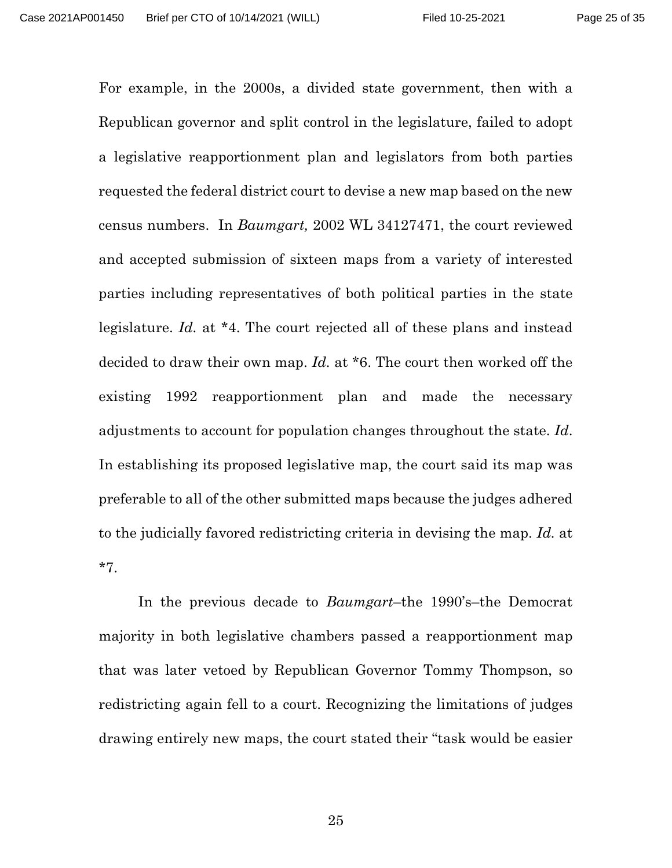For example, in the 2000s, a divided state government, then with a Republican governor and split control in the legislature, failed to adopt a legislative reapportionment plan and legislators from both parties requested the federal district court to devise a new map based on the new census numbers. In *Baumgart,* 2002 WL 34127471, the court reviewed and accepted submission of sixteen maps from a variety of interested parties including representatives of both political parties in the state legislature. *Id.* at \*4. The court rejected all of these plans and instead decided to draw their own map. *Id.* at \*6. The court then worked off the existing 1992 reapportionment plan and made the necessary adjustments to account for population changes throughout the state. *Id*. In establishing its proposed legislative map, the court said its map was preferable to all of the other submitted maps because the judges adhered to the judicially favored redistricting criteria in devising the map. *Id.* at \*7.

In the previous decade to *Baumgart*–the 1990's–the Democrat majority in both legislative chambers passed a reapportionment map that was later vetoed by Republican Governor Tommy Thompson, so redistricting again fell to a court. Recognizing the limitations of judges drawing entirely new maps, the court stated their "task would be easier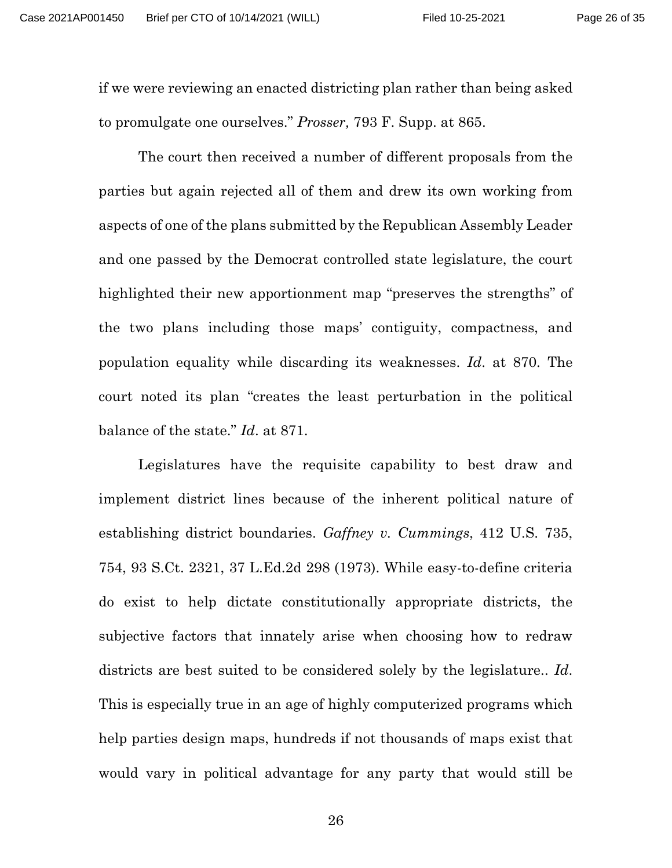if we were reviewing an enacted districting plan rather than being asked to promulgate one ourselves." *Prosser,* 793 F. Supp. at 865.

The court then received a number of different proposals from the parties but again rejected all of them and drew its own working from aspects of one of the plans submitted by the Republican Assembly Leader and one passed by the Democrat controlled state legislature, the court highlighted their new apportionment map "preserves the strengths" of the two plans including those maps' contiguity, compactness, and population equality while discarding its weaknesses. *Id*. at 870. The court noted its plan "creates the least perturbation in the political balance of the state." *Id*. at 871.

Legislatures have the requisite capability to best draw and implement district lines because of the inherent political nature of establishing district boundaries. *Gaffney v. Cummings*, 412 U.S. 735, 754, 93 S.Ct. 2321, 37 L.Ed.2d 298 (1973). While easy-to-define criteria do exist to help dictate constitutionally appropriate districts, the subjective factors that innately arise when choosing how to redraw districts are best suited to be considered solely by the legislature.. *Id*. This is especially true in an age of highly computerized programs which help parties design maps, hundreds if not thousands of maps exist that would vary in political advantage for any party that would still be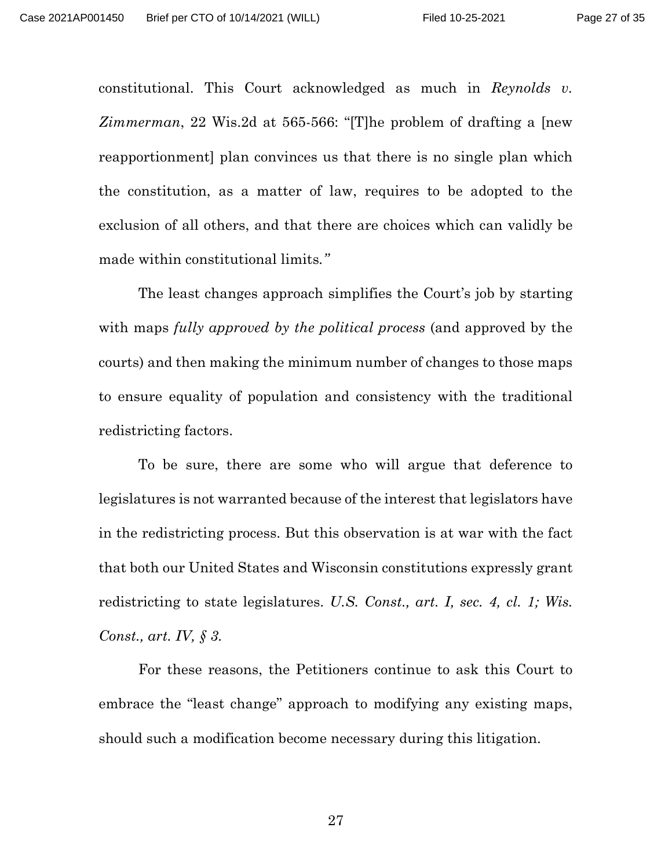constitutional. This Court acknowledged as much in *Reynolds v. Zimmerman*, 22 Wis.2d at 565-566: "[T]he problem of drafting a [new reapportionment] plan convinces us that there is no single plan which the constitution, as a matter of law, requires to be adopted to the exclusion of all others, and that there are choices which can validly be made within constitutional limits*."*

The least changes approach simplifies the Court's job by starting with maps *fully approved by the political process* (and approved by the courts) and then making the minimum number of changes to those maps to ensure equality of population and consistency with the traditional redistricting factors.

To be sure, there are some who will argue that deference to legislatures is not warranted because of the interest that legislators have in the redistricting process. But this observation is at war with the fact that both our United States and Wisconsin constitutions expressly grant redistricting to state legislatures. *U.S. Const., art. I, sec. 4, cl. 1; Wis. Const., art. IV, § 3.*

For these reasons, the Petitioners continue to ask this Court to embrace the "least change" approach to modifying any existing maps, should such a modification become necessary during this litigation.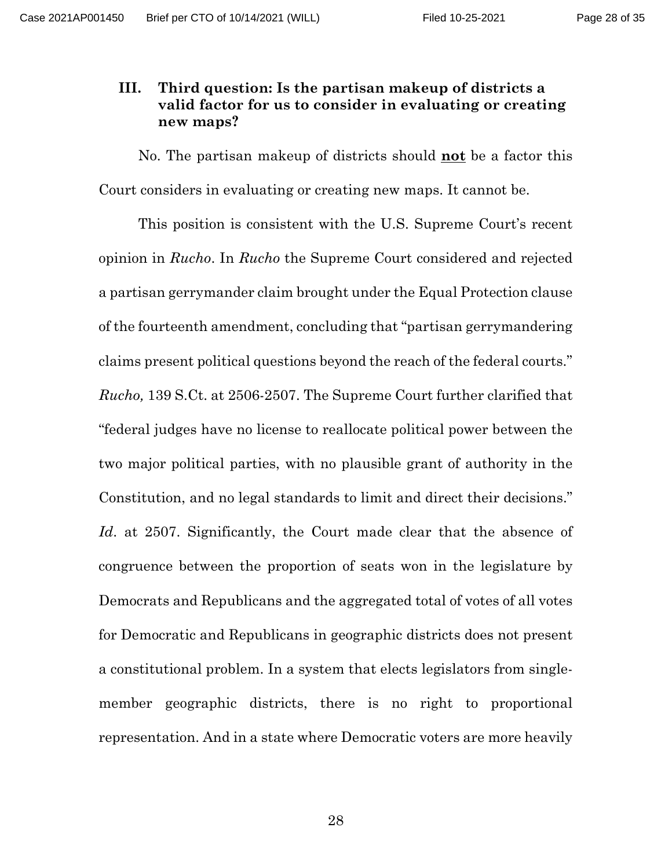## <span id="page-27-0"></span>**III. Third question: Is the partisan makeup of districts a valid factor for us to consider in evaluating or creating new maps?**

No. The partisan makeup of districts should **not** be a factor this Court considers in evaluating or creating new maps. It cannot be.

This position is consistent with the U.S. Supreme Court's recent opinion in *Rucho*. In *Rucho* the Supreme Court considered and rejected a partisan gerrymander claim brought under the Equal Protection clause of the fourteenth amendment, concluding that "partisan gerrymandering claims present political questions beyond the reach of the federal courts." *Rucho,* 139 S.Ct. at 2506-2507. The Supreme Court further clarified that "federal judges have no license to reallocate political power between the two major political parties, with no plausible grant of authority in the Constitution, and no legal standards to limit and direct their decisions." *Id*. at 2507. Significantly, the Court made clear that the absence of congruence between the proportion of seats won in the legislature by Democrats and Republicans and the aggregated total of votes of all votes for Democratic and Republicans in geographic districts does not present a constitutional problem. In a system that elects legislators from singlemember geographic districts, there is no right to proportional representation. And in a state where Democratic voters are more heavily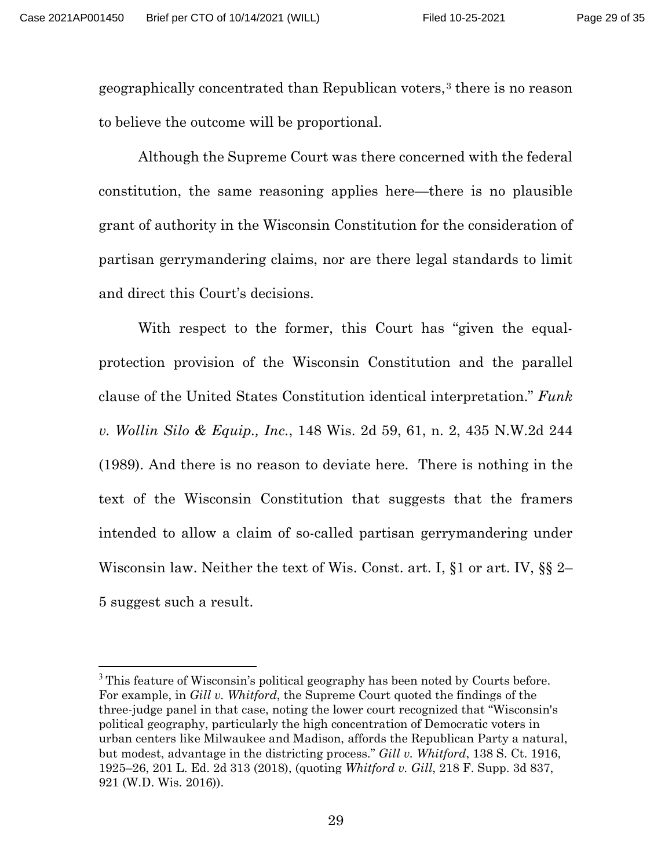geographically concentrated than Republican voters,[3](#page-28-0) there is no reason to believe the outcome will be proportional.

Although the Supreme Court was there concerned with the federal constitution, the same reasoning applies here—there is no plausible grant of authority in the Wisconsin Constitution for the consideration of partisan gerrymandering claims, nor are there legal standards to limit and direct this Court's decisions.

With respect to the former, this Court has "given the equalprotection provision of the Wisconsin Constitution and the parallel clause of the United States Constitution identical interpretation." *Funk v. Wollin Silo & Equip., Inc.*, 148 Wis. 2d 59, 61, n. 2, 435 N.W.2d 244 (1989). And there is no reason to deviate here. There is nothing in the text of the Wisconsin Constitution that suggests that the framers intended to allow a claim of so-called partisan gerrymandering under Wisconsin law. Neither the text of Wis. Const. art. I, §1 or [art. IV, §§ 2–](https://1.next.westlaw.com/Link/Document/FullText?findType=L&pubNum=1000260&cite=WICNART4S2&originatingDoc=I0e27e701ff2111d99439b076ef9ec4de&refType=LQ&originationContext=document&transitionType=DocumentItem&ppcid=565b042706864b53a3faab62b9ae3a82&contextData=(sc.Search)) [5](https://1.next.westlaw.com/Link/Document/FullText?findType=L&pubNum=1000260&cite=WICNART4S5&originatingDoc=I0e27e701ff2111d99439b076ef9ec4de&refType=LQ&originationContext=document&transitionType=DocumentItem&ppcid=565b042706864b53a3faab62b9ae3a82&contextData=(sc.Search)) suggest such a result.

<span id="page-28-0"></span><sup>&</sup>lt;sup>3</sup> This feature of Wisconsin's political geography has been noted by Courts before. For example, in *Gill v. Whitford*, the Supreme Court quoted the findings of the three-judge panel in that case, noting the lower court recognized that "Wisconsin's political geography, particularly the high concentration of Democratic voters in urban centers like Milwaukee and Madison, affords the Republican Party a natural, but modest, advantage in the districting process." *Gill v. Whitford*, 138 S. Ct. 1916, 1925–26, 201 L. Ed. 2d 313 (2018), (quoting *Whitford v. Gill*, 218 F. Supp. 3d 837, 921 (W.D. Wis. 2016)).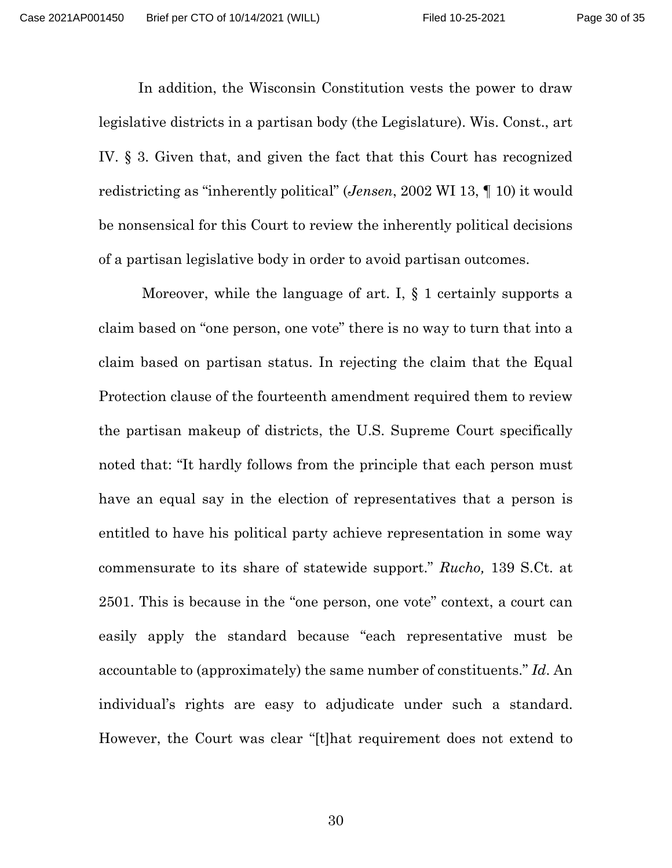In addition, the Wisconsin Constitution vests the power to draw legislative districts in a partisan body (the Legislature). Wis. Const., art IV. § 3. Given that, and given the fact that this Court has recognized redistricting as "inherently political" (*Jensen*, 2002 WI 13, ¶ 10) it would be nonsensical for this Court to review the inherently political decisions of a partisan legislative body in order to avoid partisan outcomes.

Moreover, while the language of art. I,  $\S$  1 certainly supports a claim based on "one person, one vote" there is no way to turn that into a claim based on partisan status. In rejecting the claim that the Equal Protection clause of the fourteenth amendment required them to review the partisan makeup of districts, the U.S. Supreme Court specifically noted that: "It hardly follows from the principle that each person must have an equal say in the election of representatives that a person is entitled to have his political party achieve representation in some way commensurate to its share of statewide support." *Rucho,* 139 S.Ct. at 2501. This is because in the "one person, one vote" context, a court can easily apply the standard because "each representative must be accountable to (approximately) the same number of constituents." *Id*. An individual's rights are easy to adjudicate under such a standard. However, the Court was clear "[t]hat requirement does not extend to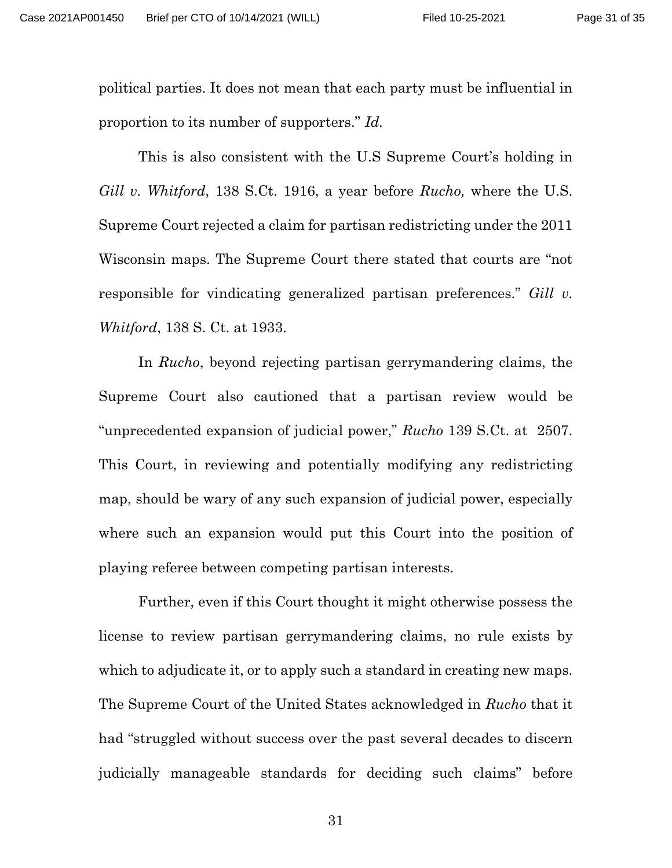political parties. It does not mean that each party must be influential in proportion to its number of supporters." *Id.* 

This is also consistent with the U.S Supreme Court's holding in *Gill v. Whitford*, 138 S.Ct. 1916, a year before *Rucho,* where the U.S. Supreme Court rejected a claim for partisan redistricting under the 2011 Wisconsin maps. The Supreme Court there stated that courts are "not responsible for vindicating generalized partisan preferences." *Gill v. Whitford*, 138 S. Ct. at 1933.

In *Rucho*, beyond rejecting partisan gerrymandering claims, the Supreme Court also cautioned that a partisan review would be "unprecedented expansion of judicial power," *Rucho* 139 S.Ct. at 2507. This Court, in reviewing and potentially modifying any redistricting map, should be wary of any such expansion of judicial power, especially where such an expansion would put this Court into the position of playing referee between competing partisan interests.

Further, even if this Court thought it might otherwise possess the license to review partisan gerrymandering claims, no rule exists by which to adjudicate it, or to apply such a standard in creating new maps. The Supreme Court of the United States acknowledged in *Rucho* that it had "struggled without success over the past several decades to discern judicially manageable standards for deciding such claims" before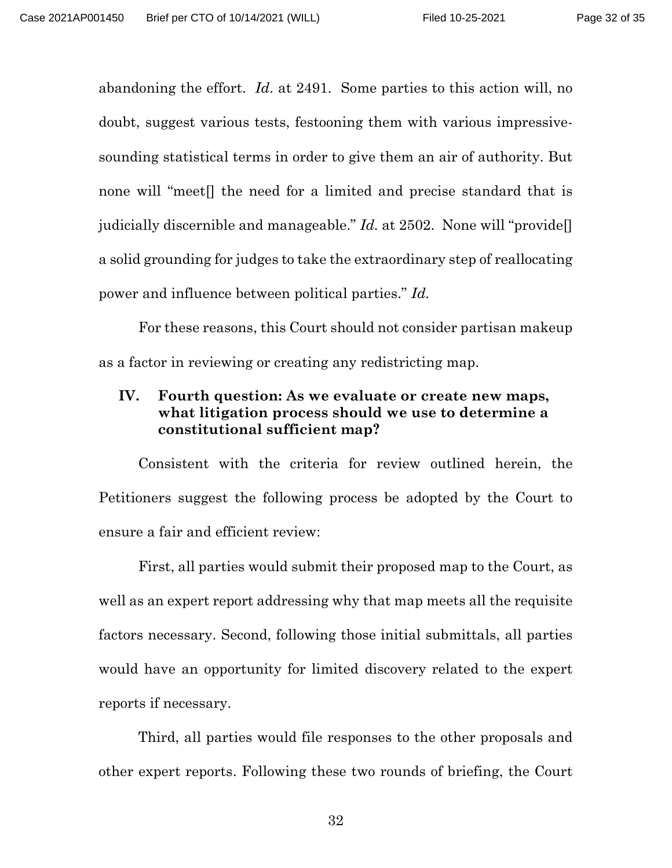abandoning the effort. *Id*. at 2491. Some parties to this action will, no doubt, suggest various tests, festooning them with various impressivesounding statistical terms in order to give them an air of authority. But none will "meet[] the need for a limited and precise standard that is judicially discernible and manageable." *Id.* at 2502. None will "provide[] a solid grounding for judges to take the extraordinary step of reallocating power and influence between political parties." *Id.*

For these reasons, this Court should not consider partisan makeup as a factor in reviewing or creating any redistricting map.

# <span id="page-31-0"></span>**IV. Fourth question: As we evaluate or create new maps, what litigation process should we use to determine a constitutional sufficient map?**

Consistent with the criteria for review outlined herein, the Petitioners suggest the following process be adopted by the Court to ensure a fair and efficient review:

First, all parties would submit their proposed map to the Court, as well as an expert report addressing why that map meets all the requisite factors necessary. Second, following those initial submittals, all parties would have an opportunity for limited discovery related to the expert reports if necessary.

Third, all parties would file responses to the other proposals and other expert reports. Following these two rounds of briefing, the Court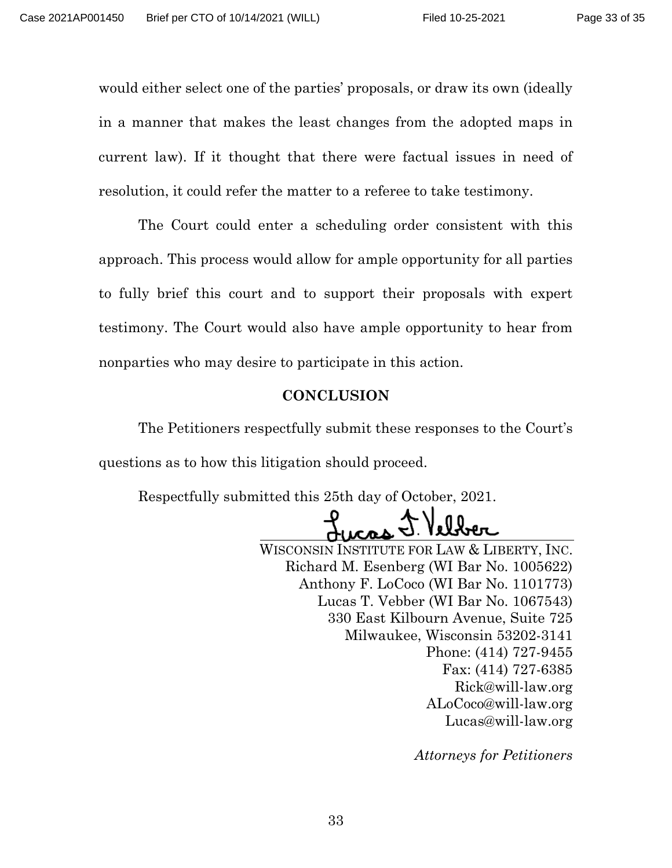would either select one of the parties' proposals, or draw its own (ideally in a manner that makes the least changes from the adopted maps in current law). If it thought that there were factual issues in need of resolution, it could refer the matter to a referee to take testimony.

The Court could enter a scheduling order consistent with this approach. This process would allow for ample opportunity for all parties to fully brief this court and to support their proposals with expert testimony. The Court would also have ample opportunity to hear from nonparties who may desire to participate in this action.

#### **CONCLUSION**

<span id="page-32-0"></span>The Petitioners respectfully submit these responses to the Court's questions as to how this litigation should proceed.

Respectfully submitted this 25th day of October, 2021.

WISCONSIN INSTITUTE FOR LAW & LIBERTY, INC. Richard M. Esenberg (WI Bar No. 1005622) Anthony F. LoCoco (WI Bar No. 1101773) Lucas T. Vebber (WI Bar No. 1067543) 330 East Kilbourn Avenue, Suite 725 Milwaukee, Wisconsin 53202-3141 Phone: (414) 727-9455 Fax: (414) 727-6385 Rick@will-law.org ALoCoco@will-law.org Lucas@will-law.org

*Attorneys for Petitioners*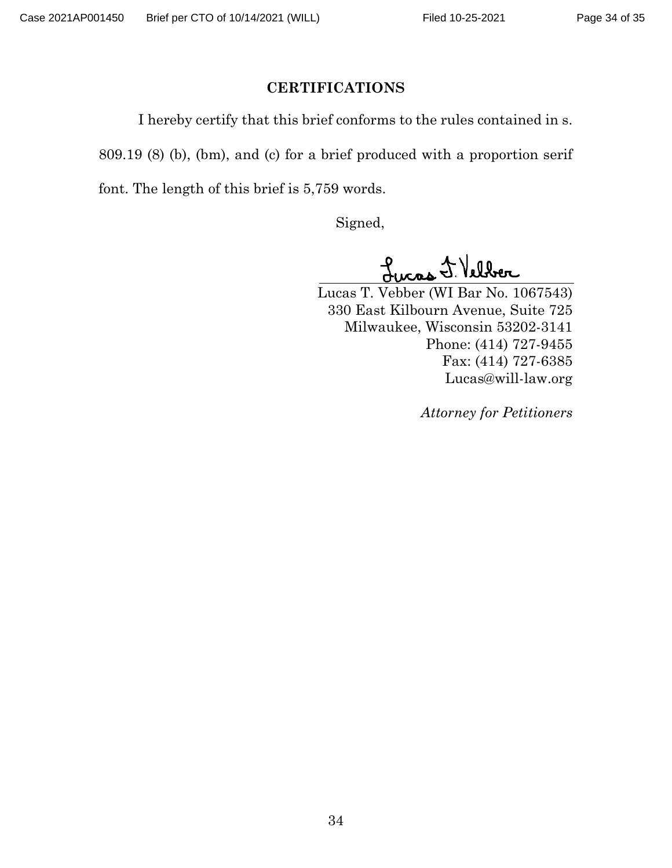#### **CERTIFICATIONS**

<span id="page-33-0"></span>I hereby certify that this brief conforms to the rules contained in s.

809.19 (8) (b), (bm), and (c) for a brief produced with a proportion serif

font. The length of this brief is 5,759 words.

Signed,

Lucas J. Velber

Lucas T. Vebber (WI Bar No. 1067543) 330 East Kilbourn Avenue, Suite 725 Milwaukee, Wisconsin 53202-3141 Phone: (414) 727-9455 Fax: (414) 727-6385 Lucas@will-law.org

*Attorney for Petitioners*